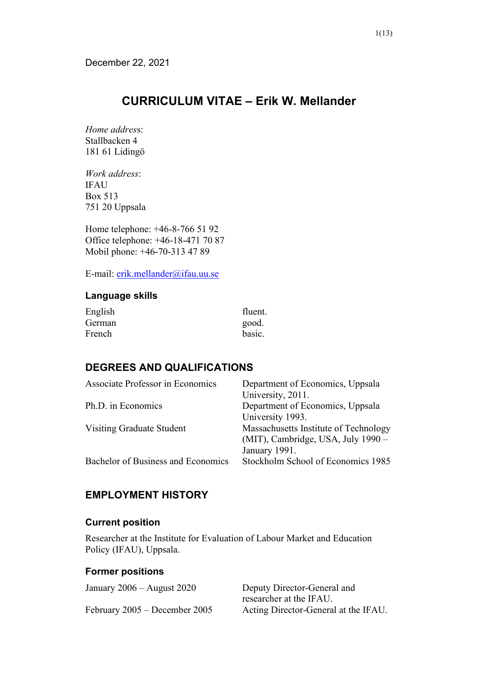# **CURRICULUM VITAE – Erik W. Mellander**

*Home addres*s: Stallbacken 4 181 61 Lidingö

*Work address*: IFAU Box 513 751 20 Uppsala

Home telephone: +46-8-766 51 92 Office telephone: +46-18-471 70 87 Mobil phone: +46-70-313 47 89

E-mail: [erik.mellander@ifau.uu.se](mailto:erik.mellander@ifau.uu.se)

#### **Language skills**

| English | fluent. |
|---------|---------|
| German  | good.   |
| French  | basic.  |

## **DEGREES AND QUALIFICATIONS**

| Associate Professor in Economics   | Department of Economics, Uppsala      |
|------------------------------------|---------------------------------------|
|                                    | University, 2011.                     |
| Ph.D. in Economics                 | Department of Economics, Uppsala      |
|                                    | University 1993.                      |
| Visiting Graduate Student          | Massachusetts Institute of Technology |
|                                    | (MIT), Cambridge, USA, July 1990 –    |
|                                    | January 1991.                         |
| Bachelor of Business and Economics | Stockholm School of Economics 1985    |
|                                    |                                       |

## **EMPLOYMENT HISTORY**

#### **Current position**

Researcher at the Institute for Evaluation of Labour Market and Education Policy (IFAU), Uppsala.

### **Former positions**

| January $2006 -$ August $2020$ | Deputy Director-General and          |
|--------------------------------|--------------------------------------|
|                                | researcher at the IFAU.              |
| February 2005 – December 2005  | Acting Director-General at the IFAU. |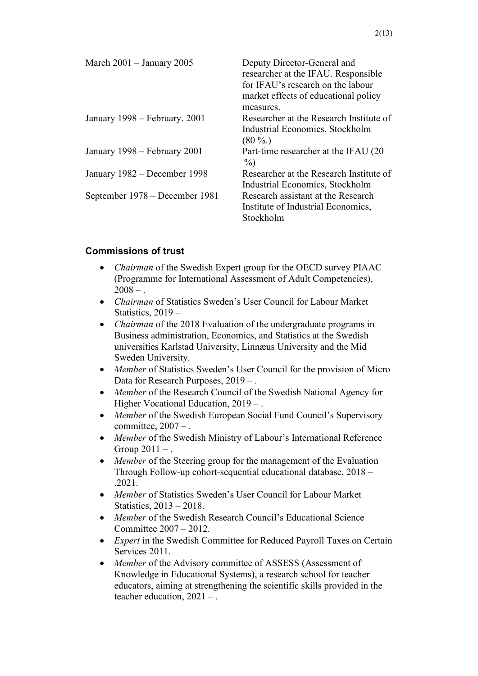| March $2001 -$ January $2005$  | Deputy Director-General and<br>researcher at the IFAU. Responsible<br>for IFAU's research on the labour<br>market effects of educational policy |
|--------------------------------|-------------------------------------------------------------------------------------------------------------------------------------------------|
| January 1998 – February. 2001  | measures.<br>Researcher at the Research Institute of                                                                                            |
|                                | Industrial Economics, Stockholm<br>$(80\%.)$                                                                                                    |
| January 1998 – February 2001   | Part-time researcher at the IFAU (20)<br>$\%$                                                                                                   |
| January 1982 – December 1998   | Researcher at the Research Institute of<br>Industrial Economics, Stockholm                                                                      |
| September 1978 – December 1981 | Research assistant at the Research<br>Institute of Industrial Economics,<br>Stockholm                                                           |

#### **Commissions of trust**

- *Chairman* of the Swedish Expert group for the OECD survey PIAAC (Programme for International Assessment of Adult Competencies),  $2008 - .$
- *Chairman* of Statistics Sweden's User Council for Labour Market Statistics, 2019 –
- *Chairman* of the 2018 Evaluation of the undergraduate programs in Business administration, Economics, and Statistics at the Swedish universities Karlstad University, Linnæus University and the Mid Sweden University.
- *Member* of Statistics Sweden's User Council for the provision of Micro Data for Research Purposes, 2019 – .
- *Member* of the Research Council of the Swedish National Agency for Higher Vocational Education,  $2019 -$ .
- *Member* of the Swedish European Social Fund Council's Supervisory committee,  $2007 -$ .
- *Member* of the Swedish Ministry of Labour's International Reference Group  $2011 -$ .
- *Member* of the Steering group for the management of the Evaluation Through Follow-up cohort-sequential educational database, 2018 – .2021.
- *Member* of Statistics Sweden's User Council for Labour Market Statistics, 2013 – 2018.
- *Member* of the Swedish Research Council's Educational Science Committee 2007 – 2012.
- *Expert* in the Swedish Committee for Reduced Payroll Taxes on Certain Services 2011.
- *Member* of the Advisory committee of ASSESS (Assessment of Knowledge in Educational Systems), a research school for teacher educators, aiming at strengthening the scientific skills provided in the teacher education, 2021 – .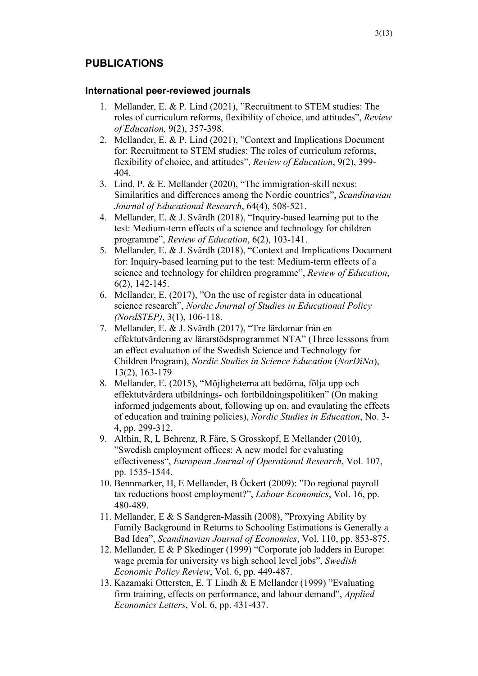## **PUBLICATIONS**

#### **International peer-reviewed journals**

- 1. Mellander, E. & P. Lind (2021), "Recruitment to STEM studies: The roles of curriculum reforms, flexibility of choice, and attitudes", *Review of Education,* 9(2), 357-398.
- 2. Mellander, E. & P. Lind (2021), "Context and Implications Document for: Recruitment to STEM studies: The roles of curriculum reforms, flexibility of choice, and attitudes", *Review of Education*, 9(2), 399- 404.
- 3. Lind, P. & E. Mellander (2020), "The immigration-skill nexus: Similarities and differences among the Nordic countries", *Scandinavian Journal of Educational Research*, 64(4), 508-521.
- 4. Mellander, E. & J. Svärdh (2018), "Inquiry-based learning put to the test: Medium-term effects of a science and technology for children programme", *Review of Education*, 6(2), 103-141.
- 5. Mellander, E. & J. Svärdh (2018), "Context and Implications Document for: Inquiry-based learning put to the test: Medium-term effects of a science and technology for children programme", *Review of Education*, 6(2), 142-145.
- 6. Mellander, E. (2017), "On the use of register data in educational science research", *Nordic Journal of Studies in Educational Policy (NordSTEP)*, 3(1), 106-118.
- 7. Mellander, E. & J. Svärdh (2017), "Tre lärdomar från en effektutvärdering av lärarstödsprogrammet NTA" (Three lesssons from an effect evaluation of the Swedish Science and Technology for Children Program), *Nordic Studies in Science Education* (*NorDiNa*), 13(2), 163-179
- 8. Mellander, E. (2015), "Möjligheterna att bedöma, följa upp och effektutvärdera utbildnings- och fortbildningspolitiken" (On making informed judgements about, following up on, and evaulating the effects of education and training policies), *Nordic Studies in Education*, No. 3- 4, pp. 299-312.
- 9. Althin, R, L Behrenz, R Färe, S Grosskopf, E Mellander (2010), "Swedish employment offices: A new model for evaluating effectiveness", *European Journal of Operational Research*, Vol. 107, pp. 1535-1544.
- 10. Bennmarker, H, E Mellander, B Öckert (2009): "Do regional payroll tax reductions boost employment?", *Labour Economics*, Vol. 16, pp. 480-489.
- 11. Mellander, E & S Sandgren-Massih (2008), "Proxying Ability by Family Background in Returns to Schooling Estimations is Generally a Bad Idea", *Scandinavian Journal of Economics*, Vol. 110, pp. 853-875.
- 12. Mellander, E & P Skedinger (1999) "Corporate job ladders in Europe: wage premia for university vs high school level jobs", *Swedish Economic Policy Review*, Vol. 6, pp. 449-487.
- 13. Kazamaki Ottersten, E, T Lindh & E Mellander (1999) "Evaluating firm training, effects on performance, and labour demand", *Applied Economics Letters*, Vol. 6, pp. 431-437.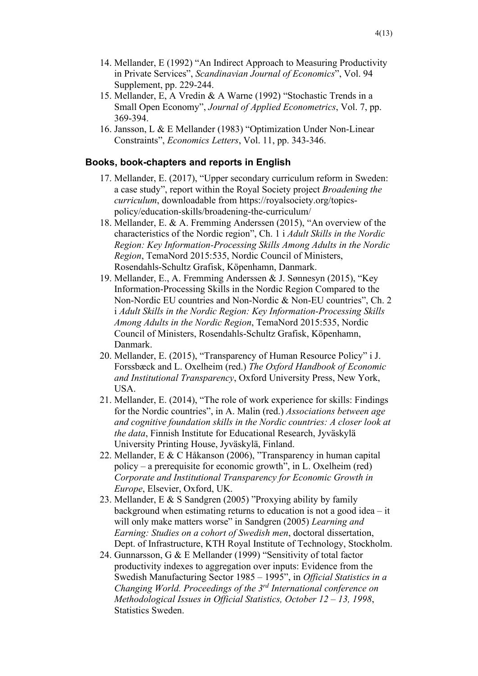- 14. Mellander, E (1992) "An Indirect Approach to Measuring Productivity in Private Services", *Scandinavian Journal of Economics*", Vol. 94 Supplement, pp. 229-244.
- 15. Mellander, E, A Vredin & A Warne (1992) "Stochastic Trends in a Small Open Economy", *Journal of Applied Econometrics*, Vol. 7, pp. 369-394.
- 16. Jansson, L & E Mellander (1983) "Optimization Under Non-Linear Constraints", *Economics Letters*, Vol. 11, pp. 343-346.

#### **Books, book-chapters and reports in English**

- 17. Mellander, E. (2017), "Upper secondary curriculum reform in Sweden: a case study", report within the Royal Society project *Broadening the curriculum*, downloadable from https://royalsociety.org/topicspolicy/education-skills/broadening-the-curriculum/
- 18. Mellander, E. & A. Fremming Anderssen (2015), "An overview of the characteristics of the Nordic region", Ch. 1 i *Adult Skills in the Nordic Region: Key Information-Processing Skills Among Adults in the Nordic Region*, TemaNord 2015:535, Nordic Council of Ministers, Rosendahls-Schultz Grafisk, Köpenhamn, Danmark.
- 19. Mellander, E., A. Fremming Anderssen & J. Sønnesyn (2015), "Key Information-Processing Skills in the Nordic Region Compared to the Non-Nordic EU countries and Non-Nordic & Non-EU countries", Ch. 2 i *Adult Skills in the Nordic Region: Key Information-Processing Skills Among Adults in the Nordic Region*, TemaNord 2015:535, Nordic Council of Ministers, Rosendahls-Schultz Grafisk, Köpenhamn, Danmark.
- 20. Mellander, E. (2015), "Transparency of Human Resource Policy" i J. Forssbæck and L. Oxelheim (red.) *The Oxford Handbook of Economic and Institutional Transparency*, Oxford University Press, New York, USA.
- 21. Mellander, E. (2014), "The role of work experience for skills: Findings for the Nordic countries", in A. Malin (red.) *Associations between age and cognitive foundation skills in the Nordic countries: A closer look at the data*, Finnish Institute for Educational Research, Jyväskylä University Printing House, Jyväskylä, Finland.
- 22. Mellander, E & C Håkanson (2006), "Transparency in human capital policy – a prerequisite for economic growth", in L. Oxelheim (red) *Corporate and Institutional Transparency for Economic Growth in Europe*, Elsevier, Oxford, UK.
- 23. Mellander, E & S Sandgren (2005) "Proxying ability by family background when estimating returns to education is not a good idea – it will only make matters worse" in Sandgren (2005) *Learning and Earning: Studies on a cohort of Swedish men*, doctoral dissertation, Dept. of Infrastructure, KTH Royal Institute of Technology, Stockholm.
- 24. Gunnarsson, G & E Mellander (1999) "Sensitivity of total factor productivity indexes to aggregation over inputs: Evidence from the Swedish Manufacturing Sector 1985 – 1995", in *Official Statistics in a Changing World. Proceedings of the 3rd International conference on Methodological Issues in Official Statistics, October 12 – 13, 1998*, Statistics Sweden.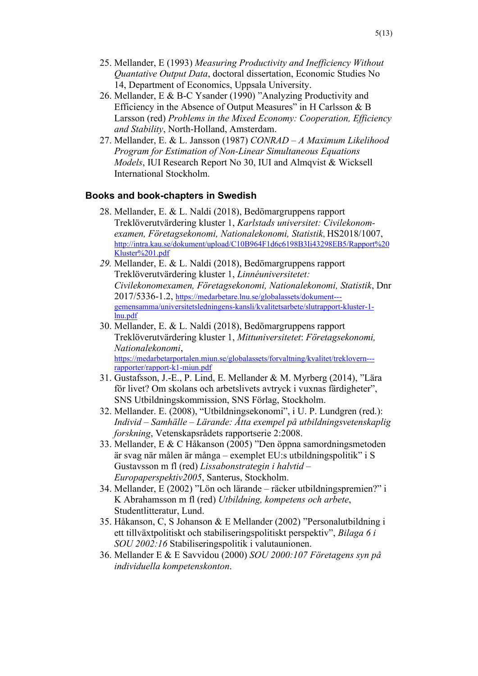- 25. Mellander, E (1993) *Measuring Productivity and Inefficiency Without Quantative Output Data*, doctoral dissertation, Economic Studies No 14, Department of Economics, Uppsala University.
- 26. Mellander, E & B-C Ysander (1990) "Analyzing Productivity and Efficiency in the Absence of Output Measures" in H Carlsson & B Larsson (red) *Problems in the Mixed Economy: Cooperation, Efficiency and Stability*, North-Holland, Amsterdam.
- 27. Mellander, E. & L. Jansson (1987) *CONRAD – A Maximum Likelihood Program for Estimation of Non-Linear Simultaneous Equations Models*, IUI Research Report No 30, IUI and Almqvist & Wicksell International Stockholm.

#### **Books and book-chapters in Swedish**

- 28. Mellander, E. & L. Naldi (2018), Bedömargruppens rapport Treklöverutvärdering kluster 1, *Karlstads universitet: Civilekonomexamen, Företagsekonomi, Nationalekonomi, Statistik*, HS2018/1007, [http://intra.kau.se/dokument/upload/C10B964F1d6c6198B3Ii43298EB5/Rapport%20](http://intra.kau.se/dokument/upload/C10B964F1d6c6198B3Ii43298EB5/Rapport%20Kluster%201.pdf) [Kluster%201.pdf](http://intra.kau.se/dokument/upload/C10B964F1d6c6198B3Ii43298EB5/Rapport%20Kluster%201.pdf)
- *29.* Mellander, E. & L. Naldi (2018), Bedömargruppens rapport Treklöverutvärdering kluster 1, *Linnéuniversitetet: Civilekonomexamen, Företagsekonomi, Nationalekonomi, Statistik*, Dnr 2017/5336-1.2, [https://medarbetare.lnu.se/globalassets/dokument--](https://medarbetare.lnu.se/globalassets/dokument---gemensamma/universitetsledningens-kansli/kvalitetsarbete/slutrapport-kluster-1-lnu.pdf) [gemensamma/universitetsledningens-kansli/kvalitetsarbete/slutrapport-kluster-1](https://medarbetare.lnu.se/globalassets/dokument---gemensamma/universitetsledningens-kansli/kvalitetsarbete/slutrapport-kluster-1-lnu.pdf) [lnu.pdf](https://medarbetare.lnu.se/globalassets/dokument---gemensamma/universitetsledningens-kansli/kvalitetsarbete/slutrapport-kluster-1-lnu.pdf)
- 30. Mellander, E. & L. Naldi (2018), Bedömargruppens rapport Treklöverutvärdering kluster 1, *Mittuniversitetet*: *Företagsekonomi, Nationalekonomi*,<br>https://medarbetarportalen.miun.se/globalassets/forvaltning/kvalitet/treklovern--[rapporter/rapport-k1-miun.pdf](https://medarbetarportalen.miun.se/globalassets/forvaltning/kvalitet/treklovern---rapporter/rapport-k1-miun.pdf)
- 31. Gustafsson, J.-E., P. Lind, E. Mellander & M. Myrberg (2014), "Lära för livet? Om skolans och arbetslivets avtryck i vuxnas färdigheter", SNS Utbildningskommission, SNS Förlag, Stockholm.
- 32. Mellander. E. (2008), "Utbildningsekonomi", i U. P. Lundgren (red.): *Individ – Samhälle – Lärande: Åtta exempel på utbildningsvetenskaplig forskning*, Vetenskapsrådets rapportserie 2:2008.
- 33. Mellander, E & C Håkanson (2005) "Den öppna samordningsmetoden är svag när målen är många – exemplet EU:s utbildningspolitik" i S Gustavsson m fl (red) *Lissabonstrategin i halvtid – Europaperspektiv2005*, Santerus, Stockholm.
- 34. Mellander, E (2002) "Lön och lärande räcker utbildningspremien?" i K Abrahamsson m fl (red) *Utbildning, kompetens och arbete*, Studentlitteratur, Lund.
- 35. Håkanson, C, S Johanson & E Mellander (2002) "Personalutbildning i ett tillväxtpolitiskt och stabiliseringspolitiskt perspektiv", *Bilaga 6 i SOU 2002:16* Stabiliseringspolitik i valutaunionen.
- 36. Mellander E & E Savvidou (2000) *SOU 2000:107 Företagens syn på individuella kompetenskonton*.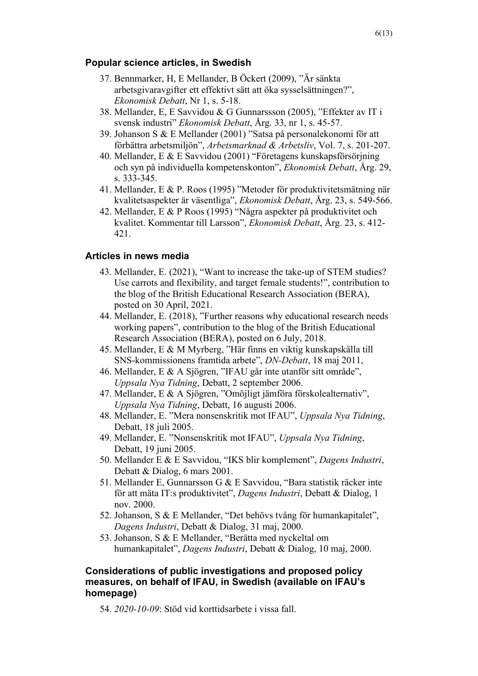#### **Popular science articles, in Swedish**

- 37. Bennmarker, H, E Mellander, B Öckert (2009), "Är sänkta arbetsgivaravgifter ett effektivt sätt att öka sysselsättningen?", *Ekonomisk Debatt*, Nr 1, s. 5-18.
- 38. Mellander, E, E Savvidou & G Gunnarssson (2005), "Effekter av IT i svensk industri" *Ekonomisk Debatt*, Årg. 33, nr 1, s. 45-57.
- 39. Johanson S & E Mellander (2001) "Satsa på personalekonomi för att förbättra arbetsmiljön", *Arbetsmarknad & Arbetsliv*, Vol. 7, s. 201-207.
- 40. Mellander, E & E Savvidou (2001) "Företagens kunskapsförsörjning och syn på individuella kompetenskonton", *Ekonomisk Debatt*, Årg. 29, s. 333-345.
- 41. Mellander, E & P. Roos (1995) "Metoder för produktivitetsmätning när kvalitetsaspekter är väsentliga", *Ekonomisk Debatt*, Årg. 23, s. 549-566.
- 42. Mellander, E & P Roos (1995) "Några aspekter på produktivitet och kvalitet. Kommentar till Larsson", *Ekonomisk Debatt*, Årg. 23, s. 412- 421.

#### **Articles in news media**

- 43. Mellander, E. (2021), "Want to increase the take-up of STEM studies? Use carrots and flexibility, and target female students!", contribution to the blog of the British Educational Research Association (BERA), posted on 30 April, 2021.
- 44. Mellander, E. (2018), "Further reasons why educational research needs working papers", contribution to the blog of the British Educational Research Association (BERA), posted on 6 July, 2018.
- 45. Mellander, E & M Myrberg, "Här finns en viktig kunskapskälla till SNS-kommissionens framtida arbete", *DN-Debatt*, 18 maj 2011,
- 46. Mellander, E & A Sjögren, "IFAU går inte utanför sitt område", *Uppsala Nya Tidning*, Debatt, 2 september 2006.
- 47. Mellander, E & A Sjögren, "Omöjligt jämföra förskolealternativ", *Uppsala Nya Tidning*, Debatt, 16 augusti 2006.
- 48. Mellander, E. "Mera nonsenskritik mot IFAU", *Uppsala Nya Tidning*, Debatt, 18 juli 2005.
- 49. Mellander, E. "Nonsenskritik mot IFAU", *Uppsala Nya Tidning*, Debatt, 19 juni 2005.
- 50. Mellander E & E Savvidou, "IKS blir komplement", *Dagens Industri*, Debatt & Dialog, 6 mars 2001.
- 51. Mellander E, Gunnarsson G & E Savvidou, "Bara statistik räcker inte för att mäta IT:s produktivitet", *Dagens Industri*, Debatt & Dialog, 1 nov. 2000.
- 52. Johanson, S & E Mellander, "Det behövs tvång för humankapitalet", *Dagens Industri*, Debatt & Dialog, 31 maj, 2000.
- 53. Johanson, S & E Mellander, "Berätta med nyckeltal om humankapitalet", *Dagens Industri*, Debatt & Dialog, 10 maj, 2000.

#### **Considerations of public investigations and proposed policy measures, on behalf of IFAU, in Swedish (available on IFAU's homepage)**

54. *2020-10-09*: Stöd vid korttidsarbete i vissa fall.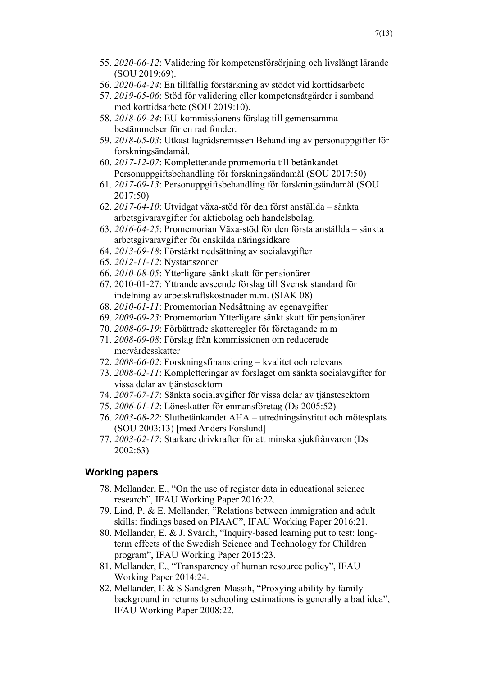- 55. *2020-06-12*: Validering för kompetensförsörjning och livslångt lärande (SOU 2019:69).
- 56. *2020-04-24*: En tillfällig förstärkning av stödet vid korttidsarbete
- 57. *2019-05-06*: Stöd för validering eller kompetensåtgärder i samband med korttidsarbete (SOU 2019:10).
- 58. *2018-09-24*: EU-kommissionens förslag till gemensamma bestämmelser för en rad fonder.
- 59. *2018-05-03*: Utkast lagrådsremissen Behandling av personuppgifter för forskningsändamål.
- 60. *2017-12-07*: Kompletterande promemoria till betänkandet Personuppgiftsbehandling för forskningsändamål (SOU 2017:50)
- 61. *2017-09-13*: Personuppgiftsbehandling för forskningsändamål (SOU 2017:50)
- 62. *2017-04-10*: Utvidgat växa-stöd för den först anställda sänkta arbetsgivaravgifter för aktiebolag och handelsbolag.
- 63. *2016-04-25*: Promemorian Växa-stöd för den första anställda sänkta arbetsgivaravgifter för enskilda näringsidkare
- 64. *2013-09-18*: Förstärkt nedsättning av socialavgifter
- 65. *2012-11-12*: Nystartszoner
- 66. *2010-08-05*: Ytterligare sänkt skatt för pensionärer
- 67. 2010-01-27: Yttrande avseende förslag till Svensk standard för indelning av arbetskraftskostnader m.m. (SIAK 08)
- 68. *2010-01-11*: Promemorian Nedsättning av egenavgifter
- 69. *2009-09-23*: Promemorian Ytterligare sänkt skatt för pensionärer
- 70. *2008-09-19*: Förbättrade skatteregler för företagande m m
- 71. *2008-09-08*: Förslag från kommissionen om reducerade mervärdesskatter
- 72. *2008-06-02*: Forskningsfinansiering kvalitet och relevans
- 73. *2008-02-11*: Kompletteringar av förslaget om sänkta socialavgifter för vissa delar av tjänstesektorn
- 74. *2007-07-17*: Sänkta socialavgifter för vissa delar av tjänstesektorn
- 75. *2006-01-12*: Löneskatter för enmansföretag (Ds 2005:52)
- 76. *2003-08-22*: Slutbetänkandet AHA utredningsinstitut och mötesplats (SOU 2003:13) [med Anders Forslund]
- 77. *2003-02-17*: Starkare drivkrafter för att minska sjukfrånvaron (Ds 2002:63)

#### **Working papers**

- 78. Mellander, E., "On the use of register data in educational science research", IFAU Working Paper 2016:22.
- 79. Lind, P. & E. Mellander, "Relations between immigration and adult skills: findings based on PIAAC", IFAU Working Paper 2016:21.
- 80. Mellander, E. & J. Svärdh, "Inquiry-based learning put to test: longterm effects of the Swedish Science and Technology for Children program", IFAU Working Paper 2015:23.
- 81. Mellander, E., "Transparency of human resource policy", IFAU Working Paper 2014:24.
- 82. Mellander, E & S Sandgren-Massih, "Proxying ability by family background in returns to schooling estimations is generally a bad idea", IFAU Working Paper 2008:22.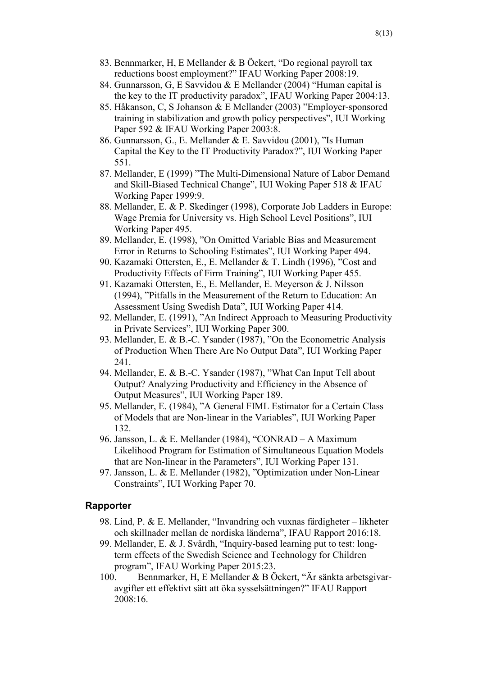- 83. Bennmarker, H, E Mellander & B Öckert, "Do regional payroll tax reductions boost employment?" IFAU Working Paper 2008:19.
- 84. Gunnarsson, G, E Savvidou & E Mellander (2004) "Human capital is the key to the IT productivity paradox", IFAU Working Paper 2004:13.
- 85. Håkanson, C, S Johanson & E Mellander (2003) "Employer-sponsored training in stabilization and growth policy perspectives", IUI Working Paper 592 & IFAU Working Paper 2003:8.
- 86. Gunnarsson, G., E. Mellander & E. Savvidou (2001), "Is Human Capital the Key to the IT Productivity Paradox?", IUI Working Paper 551.
- 87. Mellander, E (1999) "The Multi-Dimensional Nature of Labor Demand and Skill-Biased Technical Change", IUI Woking Paper 518 & IFAU Working Paper 1999:9.
- 88. Mellander, E. & P. Skedinger (1998), Corporate Job Ladders in Europe: Wage Premia for University vs. High School Level Positions", IUI Working Paper 495.
- 89. Mellander, E. (1998), "On Omitted Variable Bias and Measurement Error in Returns to Schooling Estimates", IUI Working Paper 494.
- 90. Kazamaki Ottersten, E., E. Mellander & T. Lindh (1996), "Cost and Productivity Effects of Firm Training", IUI Working Paper 455.
- 91. Kazamaki Ottersten, E., E. Mellander, E. Meyerson & J. Nilsson (1994), "Pitfalls in the Measurement of the Return to Education: An Assessment Using Swedish Data", IUI Working Paper 414.
- 92. Mellander, E. (1991), "An Indirect Approach to Measuring Productivity in Private Services", IUI Working Paper 300.
- 93. Mellander, E. & B.-C. Ysander (1987), "On the Econometric Analysis of Production When There Are No Output Data", IUI Working Paper 241.
- 94. Mellander, E. & B.-C. Ysander (1987), "What Can Input Tell about Output? Analyzing Productivity and Efficiency in the Absence of Output Measures", IUI Working Paper 189.
- 95. Mellander, E. (1984), "A General FIML Estimator for a Certain Class of Models that are Non-linear in the Variables", IUI Working Paper 132.
- 96. Jansson, L. & E. Mellander (1984), "CONRAD A Maximum Likelihood Program for Estimation of Simultaneous Equation Models that are Non-linear in the Parameters", IUI Working Paper 131.
- 97. Jansson, L. & E. Mellander (1982), "Optimization under Non-Linear Constraints", IUI Working Paper 70.

#### **Rapporter**

- 98. Lind, P. & E. Mellander, "Invandring och vuxnas färdigheter likheter och skillnader mellan de nordiska länderna", IFAU Rapport 2016:18.
- 99. Mellander, E. & J. Svärdh, "Inquiry-based learning put to test: longterm effects of the Swedish Science and Technology for Children program", IFAU Working Paper 2015:23.
- 100. Bennmarker, H, E Mellander & B Öckert, "Är sänkta arbetsgivaravgifter ett effektivt sätt att öka sysselsättningen?" IFAU Rapport 2008:16.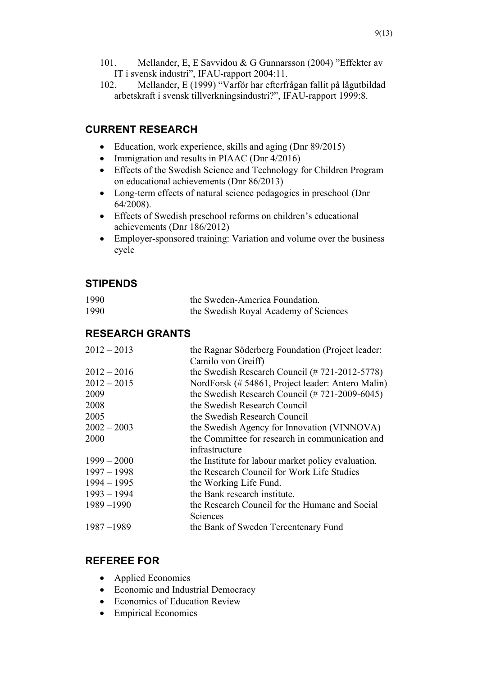102. Mellander, E (1999) "Varför har efterfrågan fallit på lågutbildad arbetskraft i svensk tillverkningsindustri?", IFAU-rapport 1999:8.

# **CURRENT RESEARCH**

- Education, work experience, skills and aging (Dnr 89/2015)
- Immigration and results in PIAAC (Dnr 4/2016)
- Effects of the Swedish Science and Technology for Children Program on educational achievements (Dnr 86/2013)
- Long-term effects of natural science pedagogics in preschool (Dnr 64/2008).
- Effects of Swedish preschool reforms on children's educational achievements (Dnr 186/2012)
- Employer-sponsored training: Variation and volume over the business cycle

# **STIPENDS**

| 1990 | the Sweden-America Foundation.        |
|------|---------------------------------------|
| 1990 | the Swedish Royal Academy of Sciences |

## **RESEARCH GRANTS**

| $2012 - 2013$ | the Ragnar Söderberg Foundation (Project leader:                        |
|---------------|-------------------------------------------------------------------------|
|               | Camilo von Greiff)                                                      |
| $2012 - 2016$ | the Swedish Research Council $(\# 721-2012-5778)$                       |
| $2012 - 2015$ | NordForsk (# 54861, Project leader: Antero Malin)                       |
| 2009          | the Swedish Research Council $(\text{\# } 721\text{-}2009\text{-}6045)$ |
| 2008          | the Swedish Research Council                                            |
| 2005          | the Swedish Research Council                                            |
| $2002 - 2003$ | the Swedish Agency for Innovation (VINNOVA)                             |
| 2000          | the Committee for research in communication and                         |
|               | infrastructure                                                          |
| $1999 - 2000$ | the Institute for labour market policy evaluation.                      |
| $1997 - 1998$ | the Research Council for Work Life Studies                              |
| $1994 - 1995$ | the Working Life Fund.                                                  |
| $1993 - 1994$ | the Bank research institute.                                            |
| $1989 - 1990$ | the Research Council for the Humane and Social                          |
|               | Sciences                                                                |
| $1987 - 1989$ | the Bank of Sweden Tercentenary Fund                                    |
|               |                                                                         |

# **REFEREE FOR**

- Applied Economics
- Economic and Industrial Democracy
- Economics of Education Review
- Empirical Economics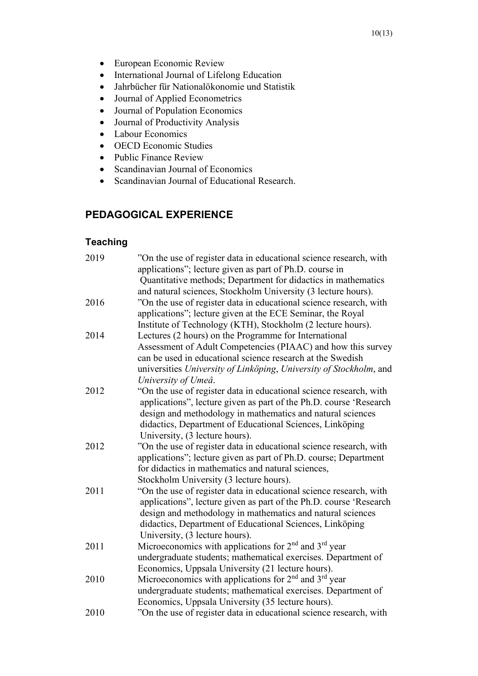- European Economic Review
- International Journal of Lifelong Education
- Jahrbücher für Nationalökonomie und Statistik
- Journal of Applied Econometrics
- Journal of Population Economics
- Journal of Productivity Analysis
- Labour Economics
- OECD Economic Studies
- Public Finance Review
- Scandinavian Journal of Economics
- Scandinavian Journal of Educational Research.

## **PEDAGOGICAL EXPERIENCE**

## **Teaching**

| 2019 | "On the use of register data in educational science research, with<br>applications"; lecture given as part of Ph.D. course in<br>Quantitative methods; Department for didactics in mathematics                                                                                                       |
|------|------------------------------------------------------------------------------------------------------------------------------------------------------------------------------------------------------------------------------------------------------------------------------------------------------|
| 2016 | and natural sciences, Stockholm University (3 lecture hours).<br>"On the use of register data in educational science research, with<br>applications"; lecture given at the ECE Seminar, the Royal<br>Institute of Technology (KTH), Stockholm (2 lecture hours).                                     |
| 2014 | Lectures (2 hours) on the Programme for International<br>Assessment of Adult Competencies (PIAAC) and how this survey<br>can be used in educational science research at the Swedish<br>universities University of Linköping, University of Stockholm, and<br>University of Umeå.                     |
| 2012 | "On the use of register data in educational science research, with<br>applications", lecture given as part of the Ph.D. course 'Research<br>design and methodology in mathematics and natural sciences<br>didactics, Department of Educational Sciences, Linköping<br>University, (3 lecture hours). |
| 2012 | "On the use of register data in educational science research, with<br>applications"; lecture given as part of Ph.D. course; Department<br>for didactics in mathematics and natural sciences,<br>Stockholm University (3 lecture hours).                                                              |
| 2011 | "On the use of register data in educational science research, with<br>applications", lecture given as part of the Ph.D. course 'Research<br>design and methodology in mathematics and natural sciences<br>didactics, Department of Educational Sciences, Linköping<br>University, (3 lecture hours). |
| 2011 | Microeconomics with applications for 2 <sup>nd</sup> and 3 <sup>rd</sup> year<br>undergraduate students; mathematical exercises. Department of<br>Economics, Uppsala University (21 lecture hours).                                                                                                  |
| 2010 | Microeconomics with applications for $2nd$ and $3rd$ year<br>undergraduate students; mathematical exercises. Department of<br>Economics, Uppsala University (35 lecture hours).                                                                                                                      |
| 2010 | "On the use of register data in educational science research, with                                                                                                                                                                                                                                   |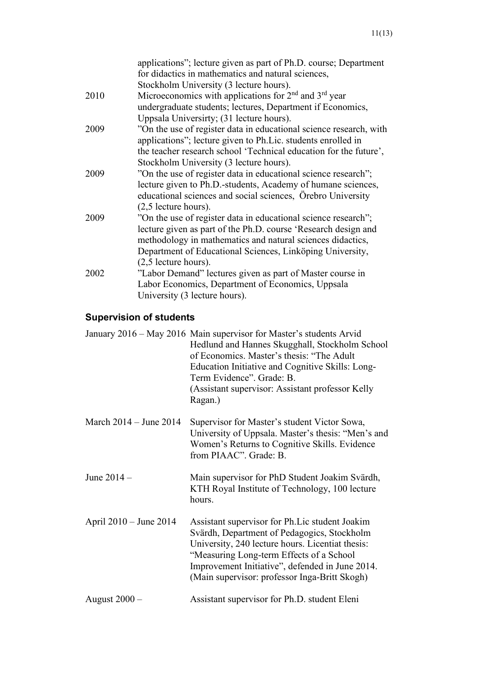| applications"; lecture given as part of Ph.D. course; Department   |
|--------------------------------------------------------------------|
| for didactics in mathematics and natural sciences,                 |
| Stockholm University (3 lecture hours).                            |
| Microeconomics with applications for $2nd$ and $3rd$ year          |
| undergraduate students; lectures, Department if Economics,         |
| Uppsala Universirty; (31 lecture hours).                           |
| "On the use of register data in educational science research, with |
| applications"; lecture given to Ph.Lic. students enrolled in       |
| the teacher research school 'Technical education for the future',  |
| Stockholm University (3 lecture hours).                            |
| "On the use of register data in educational science research";     |
| lecture given to Ph.D.-students, Academy of humane sciences,       |
| educational sciences and social sciences, Orebro University        |
| $(2,5)$ lecture hours).                                            |
| "On the use of register data in educational science research";     |
| lecture given as part of the Ph.D. course 'Research design and     |
| methodology in mathematics and natural sciences didactics,         |
| Department of Educational Sciences, Linköping University,          |
| $(2,5)$ lecture hours).                                            |
| "Labor Demand" lectures given as part of Master course in          |
| Labor Economics, Department of Economics, Uppsala                  |
| University (3 lecture hours).                                      |
|                                                                    |

# **Supervision of students**

|                            | January 2016 - May 2016 Main supervisor for Master's students Arvid<br>Hedlund and Hannes Skugghall, Stockholm School<br>of Economics. Master's thesis: "The Adult<br>Education Initiative and Cognitive Skills: Long-<br>Term Evidence". Grade: B.<br>(Assistant supervisor: Assistant professor Kelly<br>Ragan.) |
|----------------------------|--------------------------------------------------------------------------------------------------------------------------------------------------------------------------------------------------------------------------------------------------------------------------------------------------------------------|
| March $2014 -$ June $2014$ | Supervisor for Master's student Victor Sowa,<br>University of Uppsala. Master's thesis: "Men's and<br>Women's Returns to Cognitive Skills. Evidence<br>from PIAAC". Grade: B.                                                                                                                                      |
| June $2014 -$              | Main supervisor for PhD Student Joakim Svärdh,<br>KTH Royal Institute of Technology, 100 lecture<br>hours.                                                                                                                                                                                                         |
| April 2010 – June 2014     | Assistant supervisor for Ph. Lic student Joakim<br>Svärdh, Department of Pedagogics, Stockholm<br>University, 240 lecture hours. Licentiat thesis:<br>"Measuring Long-term Effects of a School<br>Improvement Initiative", defended in June 2014.<br>(Main supervisor: professor Inga-Britt Skogh)                 |
| August $2000 -$            | Assistant supervisor for Ph.D. student Eleni                                                                                                                                                                                                                                                                       |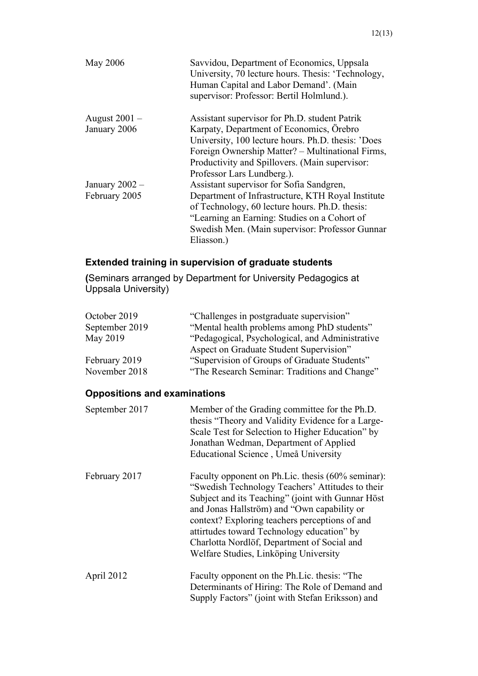| <b>May 2006</b>  | Savvidou, Department of Economics, Uppsala<br>University, 70 lecture hours. Thesis: 'Technology,<br>Human Capital and Labor Demand'. (Main<br>supervisor: Professor: Bertil Holmlund.). |
|------------------|-----------------------------------------------------------------------------------------------------------------------------------------------------------------------------------------|
| August $2001 -$  | Assistant supervisor for Ph.D. student Patrik                                                                                                                                           |
| January 2006     | Karpaty, Department of Economics, Örebro                                                                                                                                                |
|                  | University, 100 lecture hours. Ph.D. thesis: 'Does                                                                                                                                      |
|                  | Foreign Ownership Matter? – Multinational Firms,                                                                                                                                        |
|                  | Productivity and Spillovers. (Main supervisor:                                                                                                                                          |
|                  | Professor Lars Lundberg.).                                                                                                                                                              |
| January $2002 -$ | Assistant supervisor for Sofia Sandgren,                                                                                                                                                |
| February 2005    | Department of Infrastructure, KTH Royal Institute                                                                                                                                       |
|                  | of Technology, 60 lecture hours. Ph.D. thesis:                                                                                                                                          |
|                  | "Learning an Earning: Studies on a Cohort of                                                                                                                                            |
|                  | Swedish Men. (Main supervisor: Professor Gunnar                                                                                                                                         |
|                  | Eliasson.)                                                                                                                                                                              |

# **Extended training in supervision of graduate students**

**(**Seminars arranged by Department for University Pedagogics at Uppsala University)

| "Challenges in postgraduate supervision"        |
|-------------------------------------------------|
| "Mental health problems among PhD students"     |
| "Pedagogical, Psychological, and Administrative |
| Aspect on Graduate Student Supervision"         |
| "Supervision of Groups of Graduate Students"    |
| "The Research Seminar: Traditions and Change"   |
|                                                 |

# **Oppositions and examinations**

| September 2017 | Member of the Grading committee for the Ph.D.<br>thesis "Theory and Validity Evidence for a Large-<br>Scale Test for Selection to Higher Education" by<br>Jonathan Wedman, Department of Applied<br>Educational Science, Umeå University                                                                                                                                                          |
|----------------|---------------------------------------------------------------------------------------------------------------------------------------------------------------------------------------------------------------------------------------------------------------------------------------------------------------------------------------------------------------------------------------------------|
| February 2017  | Faculty opponent on Ph.Lic. thesis (60% seminar):<br>"Swedish Technology Teachers' Attitudes to their<br>Subject and its Teaching" (joint with Gunnar Höst<br>and Jonas Hallström) and "Own capability or<br>context? Exploring teachers perceptions of and<br>attirtudes toward Technology education" by<br>Charlotta Nordlöf, Department of Social and<br>Welfare Studies, Linköping University |
| April 2012     | Faculty opponent on the Ph.Lic. thesis: "The<br>Determinants of Hiring: The Role of Demand and<br>Supply Factors" (joint with Stefan Eriksson) and                                                                                                                                                                                                                                                |